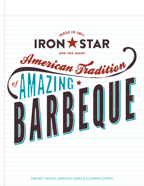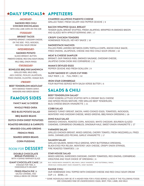## DAILY SPECIALS\* APPETIZERS

#### **-MONDAY-SMOKED RED CHILI CHICKEN ENCHILADAS**  WITH CHILI LIME CORN ON THE COB **-TUESDAY-BRISKET TACOS** CHOPPED BRISKET, CHEDDAR CHEESE, ON THE SIDE - PICO, AVOCADO, RED CHILI SOUR CREAM **-WEDNESDAY-SMOKED POTATO** SLICED BRISKET, BUTTER, PIMENTO CHEESE, RED CHILI SOUR CREAM, MILD BBQ, ONION RINGS **-THURSDAY-BONELESS BBQ RIB SANDWICH** GRILLED RIBS, MILD BBQ, JACK CHEESE, PICKLED JALAPENOS, FRIED ONIONS, CILANTRO, HOAGIE BUN **-FRIDAY-BEEF TENDERLOIN MEATLOAF** WITH SMOKED TOMATO GRAVY, MASHERS AND GREEN BEANS FAMOUS SIDES **FANCY MAC & CHEESE WHOLE FRIED OKRA RED BLISS POTATO SALAD BBQ BAKED BEANS DUTCH OVEN SWEET POTATOES ROASTED BRUSSELS & CARROTS BRAISED COLLARD GREENS FRENCH FRIES SEARED GREEN BEANS CORN PUDDING** ROOM FOR **DESSERT DOUBLE CHOCOLATE BREAD PUDDING |** 9 WITH A GRAND MARNIER GLAZE **GIANT CHOCOLATE CAKE |** 14 ENOUGH FOR TWO, A CHOCOHOLIC'S DELIGHT **CHARRED JALAPENO PIMENTO CHEESE** GRILLED TOAST, FRESH CELERY AND PEPPER CEVICHE | 9 **BACON WRAPPED QUAIL BREAST** TENDER QUAIL BREAST STUFFED, FRESH JALAPENO, WRAPPED IN SMOKED BACON AND GLAZED WITH APRICOT-SERRANO JAM | 17 **CRISPY CHICKEN TENDERS** HOMEMADE PICKLES, HEY-HEY SAUCE | 16 **SMOKESTACK NACHOS** PULLED PORK LAYERED BETWEEN CORN TORTILLA CHIPS, ANCHO CHILE SAUCE, FRIED ONIONS, JALAPENOS, CHEESE AND RED CHILE SOUR CREAM | 18 **MEAT & CHEESE SAMPLER** BRISKET, OUR FAMOUS RIBS, SMOKED SAUSAGE, CHEDDAR CHEESE, JALAPENO CHOW-CHOW AND CORNBREAD | 22 **MAMA'S DEVILED EGGS** PEPPER CEVICHE AND FRESH SCALLION | 9 **SLOW SMOKED ST. LOUIS CUT RIBS** HALF RACK | 21 FULL RACK | 32 **IRON STAR CORNBREAD** FOUR MUFFINS SERVED WITH SALSA VERDE BUTTER | 6 SALADS & CHILI **BEEF TENDERLOIN SALAD\*** CRISP ICEBERG LETTUCE STUFFED WITH A CREAMY BLEU CHEESE AND SPICED PECAN MIXTURE, FIRE GRILLED BEEF TENDERLOIN, BLEU CHEESE-BACON VINAIGRETTE | 21 **COBB SALAD** SMOKED TURKEY BREAST, BACON, HARD COOKED EGGS, TOMATOES, AVOCADOS, MONTEREY AND CHEDDAR CHEESE, MIXED GREENS, BBQ RANCH DRESSING | 18 **DINO KALE SALAD** SMOKED CHICKEN, ROASTED CORN, AVOCADO, WHITE CHEDDAR, BOURBON GLAZED CASHEWS, CORNBREAD CRUMBLES, DINOSAUR KALE, SWEET-ONION VINAIGRETTE | 17 **FARMERS SALAD** GRILLED CHICKEN BREAST, MIXED GREENS, CHERRY TOMATO, FRESH MOZZARELLA, FRIED OKRA, CARAMELIZED PECANS, GARLIC VINAIGRETTE | 17 **SALMON SALAD** GRILLED SALMON, MIXED FIELD GREENS, SPICY BUTTERMILK DRESSING, BLACK-EYED PEA RELISH, MONTEREY JACK CHEESE, CRISPY ONION STRINGS, FIRE ROASTED TOMATOES | 19 **STAR HOUSE SALAD** MIXED GREENS, SHREDDED CHEDDAR, CHERRY TOMATOES, RED ONIONS, CORNBREAD CROUTONS AND YOUR CHOICE OF DRESSING | 6 bleu cheese-bacon vinaigrette, bbq ranch, garlic vinaigrette, spicy buttermilk, ranch, cream bleu cheese,sweet onion vinaigrette, honey mustard

**FRIED PEACH PIE |** 8 SALTED CARAMEL AND VANILLA BEAN ICE CREAM **RANGE CHILI**

OUR HOMEMADE CHILI TOPPED WITH CHEDDAR CHEESE AND RED CHILE SOUR CREAM CUP | 6 BOWL | 8

\* SOME INDIVIDUALS MAY BE AT A HIGHER RISK FOR A FOOD BORNE ILLNESS IF THE FOLLOWING FOODS ARE CONSUMED RAW OR UNDERCOOKED: EGGS, BEEF, FISH, LAMB, AND MILK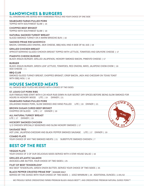### SANDWICHES & BURGERS

ALL SANDWICHES ARE SERVED WITH HOMEMADE PICKLE AND YOUR CHOICE OF ONE SIDE

### **SEABOARD FARMS PULLED PORK**

TOPPED WITH SOUTHWEST SLAW | 16

### **CHOPPED BEEF BRISKET**

TOPPED WITH SOUTHWEST SLAW | 16

### **NATURAL SMOKED TURKEY BREAST**

SLICED SMOKED TURKEY ON A WARM BRIOCHE BUN | 16

#### **SMOKED PRIME RIB SANDWICH**

BACON, CARAMELIZED ONIONS, JACK CHEESE, BBQ AIOLI AND A SIDE OF AU JUS | 19

### **GRILLED CHICKEN BREAST**

APRICOT-SERRANO GLAZED CHICKEN BREAST TOPPED WITH LETTUCE, TOMATOES AND GRUYERE CHEESE | 17

### **PIMENTO CHEESE BURGER**

BLACK ANGUS BURGER, GRILLED JALAPENOS, HICKORY SMOKED BACON, PIMENTO CHEESE | 17

### **BURGER**

BLACK ANGUS BURGER, GREEN LEAF LETTUCE, TOMATOES, RED ONIONS, MAYO, JALAPENO CHOW-CHOW | 16 ADD CHEESE | 1

#### **BBQ CLUB**

SMOKED SLICED TURKEY BREAST, CHOPPED BRISKET, CRISP BACON, JACK AND CHEDDAR ON TEXAS TOAST WITH BBO AIOLI | 16

### HOUSE SMOKED MEATS

ALL SMOKED MEAT PLATES ARE SERVED WITH A CHOICE OF TWO SIDES

### **ST. LOUIS CUT PORK RIBS**

OUR FAMOUS RIBS START WITH A 24 HOUR RUB DOWN IN OUR SECRET DRY SPICES BEFORE BEING SLOW SMOKED FOR HOURS IN HICKORY WOOD LITE | 19 DINNER | 21

### **SEABOARD FARMS PULLED PORK**

OKLAHOMA RAISED PORK, SLOW SMOKED AND HAND PULLED LITE | 19 DINNER | 21

### **BROWN SUGAR CURED BEEF BRISKET**

CHOPPED OR SLICED LITE | 17 DINNER | 19

**ALL NATURAL TURKEY BREAST** LITE | 17 DINNER | 19

### **HICKORY SMOKED CHICKEN**

1/2 CHICKEN SPECIALLY SEASONED AND SLOW HICKORY SMOKED | 17

### **SAUSAGE TRIO**

HOT LINK, JALAPENO-CHEDDAR AND BLACK PEPPER SMOKED SAUSAGE LITE | 17 DINNER | 19

### **COMBO PLATE**

YOUR CHOICE OF ANY TWO SMOKED MEATS | 21 SUBSTITUTE SMOKED CHICKEN | 7

### BEST OF THE REST

### **VEGGIE PLATE**

YOUR CHOICE OF 3 OF OUR DELICIOUS SIDES SERVED WITH A STAR HOUSE SALAD | 16

### **GRILLED ATLANTIC SALMON**

AVOCADO-LIME BUTTER, YOUR CHOICE OF TWO SIDES | 25

### **FILET OF BEEF TENDERLOIN\***

8OZ BEEF TENDERLOIN, GREEN ONION BUTTER, SERVED YOUR CHOICE OF TWO SIDES | 35

### **BLACK PEPPER CRUSTED PRIME RIB\* | DINNER ONLY**

SERVED BY THE OUNCE WITH YOUR CHOICE OF TWO SIDES | 10OZ MINIMUM | 29 ADDITIONAL OUNCES | 2.95/OZ

WE PROUDLY SERVE CREEKSTONE FARMS PREMIUM BLACK ANGUS BEEF™, AND CREEKSTONE PREMIUM NATURAL DUROC PORK™